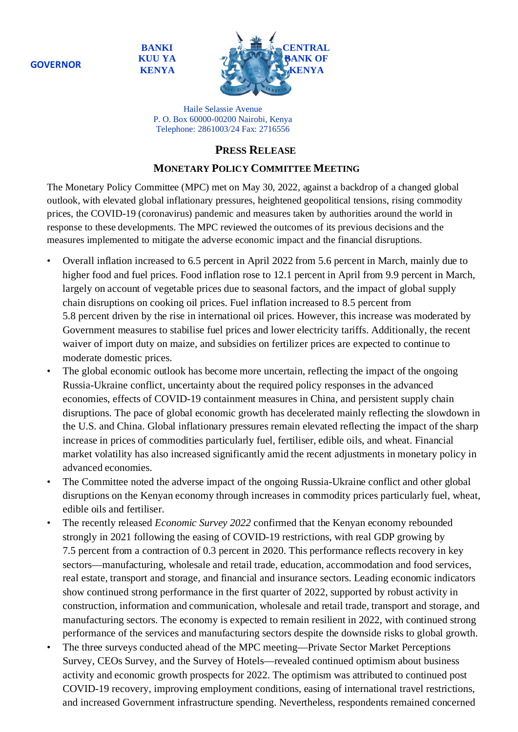**BANKI KUU YA KENYA**



Haile Selassie Avenue P. O. Box 60000-00200 Nairobi, Kenya Telephone: 2861003/24 Fax: 2716556

## **PRESS RELEASE**

## **MONETARY POLICY COMMITTEE MEETING**

The Monetary Policy Committee (MPC) met on May 30, 2022, against a backdrop of a changed global outlook, with elevated global inflationary pressures, heightened geopolitical tensions, rising commodity prices, the COVID-19 (coronavirus) pandemic and measures taken by authorities around the world in response to these developments. The MPC reviewed the outcomes of its previous decisions and the measures implemented to mitigate the adverse economic impact and the financial disruptions.

- Overall inflation increased to 6.5 percent in April 2022 from 5.6 percent in March, mainly due to higher food and fuel prices. Food inflation rose to 12.1 percent in April from 9.9 percent in March, largely on account of vegetable prices due to seasonal factors, and the impact of global supply chain disruptions on cooking oil prices. Fuel inflation increased to 8.5 percent from 5.8 percent driven by the rise in international oil prices. However, this increase was moderated by Government measures to stabilise fuel prices and lower electricity tariffs. Additionally, the recent waiver of import duty on maize, and subsidies on fertilizer prices are expected to continue to moderate domestic prices.
- The global economic outlook has become more uncertain, reflecting the impact of the ongoing Russia-Ukraine conflict, uncertainty about the required policy responses in the advanced economies, effects of COVID-19 containment measures in China, and persistent supply chain disruptions. The pace of global economic growth has decelerated mainly reflecting the slowdown in the U.S. and China. Global inflationary pressures remain elevated reflecting the impact of the sharp increase in prices of commodities particularly fuel, fertiliser, edible oils, and wheat. Financial market volatility has also increased significantly amid the recent adjustments in monetary policy in advanced economies.
- The Committee noted the adverse impact of the ongoing Russia-Ukraine conflict and other global disruptions on the Kenyan economy through increases in commodity prices particularly fuel, wheat, edible oils and fertiliser.
- The recently released *Economic Survey 2022* confirmed that the Kenyan economy rebounded strongly in 2021 following the easing of COVID-19 restrictions, with real GDP growing by 7.5 percent from a contraction of 0.3 percent in 2020. This performance reflects recovery in key sectors—manufacturing, wholesale and retail trade, education, accommodation and food services, real estate, transport and storage, and financial and insurance sectors. Leading economic indicators show continued strong performance in the first quarter of 2022, supported by robust activity in construction, information and communication, wholesale and retail trade, transport and storage, and manufacturing sectors. The economy is expected to remain resilient in 2022, with continued strong performance of the services and manufacturing sectors despite the downside risks to global growth.
- The three surveys conducted ahead of the MPC meeting—Private Sector Market Perceptions Survey, CEOs Survey, and the Survey of Hotels—revealed continued optimism about business activity and economic growth prospects for 2022. The optimism was attributed to continued post COVID-19 recovery, improving employment conditions, easing of international travel restrictions, and increased Government infrastructure spending. Nevertheless, respondents remained concerned